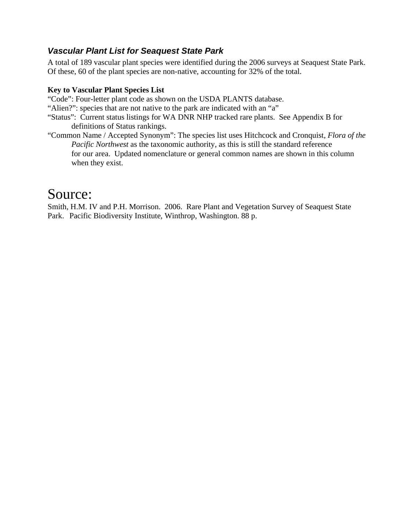## *Vascular Plant List for Seaquest State Park*

A total of 189 vascular plant species were identified during the 2006 surveys at Seaquest State Park. Of these, 60 of the plant species are non-native, accounting for 32% of the total.

## **Key to Vascular Plant Species List**

"Code": Four-letter plant code as shown on the USDA PLANTS database.

- "Alien?": species that are not native to the park are indicated with an "a"
- "Status": Current status listings for WA DNR NHP tracked rare plants. See Appendix B for definitions of Status rankings.
- "Common Name / Accepted Synonym": The species list uses Hitchcock and Cronquist, *Flora of the Pacific Northwest* as the taxonomic authority, as this is still the standard reference for our area. Updated nomenclature or general common names are shown in this column when they exist.

## Source:

Smith, H.M. IV and P.H. Morrison. 2006. Rare Plant and Vegetation Survey of Seaquest State Park.Pacific Biodiversity Institute, Winthrop, Washington. 88 p.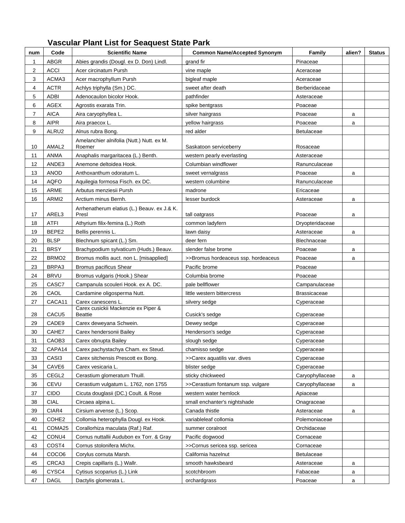## **Vascular Plant List for Seaquest State Park**

| num            | Code              | <b>Scientific Name</b>                                | <b>Common Name/Accepted Synonym</b> | Family              | alien? | Status |
|----------------|-------------------|-------------------------------------------------------|-------------------------------------|---------------------|--------|--------|
| 1              | <b>ABGR</b>       | Abies grandis (Dougl. ex D. Don) Lindl.               | grand fir                           | Pinaceae            |        |        |
| 2              | <b>ACCI</b>       | Acer circinatum Pursh                                 | vine maple                          | Aceraceae           |        |        |
| 3              | ACMA3             | Acer macrophyllum Pursh                               | bigleaf maple                       | Aceraceae           |        |        |
| 4              | ACTR              | Achlys triphylla (Sm.) DC.                            | sweet after death                   | Berberidaceae       |        |        |
| 5              | ADBI              | Adenocaulon bicolor Hook.                             | pathfinder                          | Asteraceae          |        |        |
| 6              | <b>AGEX</b>       | Agrostis exarata Trin.                                | spike bentgrass                     | Poaceae             |        |        |
| $\overline{7}$ | <b>AICA</b>       | Aira caryophyllea L.                                  | silver hairgrass                    | Poaceae             | a      |        |
| 8              | <b>AIPR</b>       | Aira praecox L.                                       | yellow hairgrass                    | Poaceae             | a      |        |
| 9              | ALRU2             | Alnus rubra Bong.                                     | red alder                           | <b>Betulaceae</b>   |        |        |
| 10             | AMAL <sub>2</sub> | Amelanchier alnifolia (Nutt.) Nutt. ex M.<br>Roemer   | Saskatoon serviceberry              | Rosaceae            |        |        |
| 11             | ANMA              | Anaphalis margaritacea (L.) Benth.                    | western pearly everlasting          | Asteraceae          |        |        |
| 12             | ANDE3             | Anemone deltoidea Hook.                               | Columbian windflower                | Ranunculaceae       |        |        |
| 13             | ANOD              | Anthoxanthum odoratum L.                              | sweet vernalgrass                   | Poaceae             | a      |        |
| 14             | <b>AQFO</b>       | Aquilegia formosa Fisch. ex DC.                       | western columbine                   | Ranunculaceae       |        |        |
| 15             | <b>ARME</b>       | Arbutus menziesii Pursh                               | madrone                             | Ericaceae           |        |        |
| 16             | ARMI2             | Arctium minus Bernh.                                  | lesser burdock                      | Asteraceae          | a      |        |
| 17             | AREL3             | Arrhenatherum elatius (L.) Beauv. ex J.& K.<br>Presl  | tall oatgrass                       | Poaceae             | a      |        |
| 18             | <b>ATFI</b>       | Athyrium filix-femina (L.) Roth                       | common ladvfern                     | Dryopteridaceae     |        |        |
| 19             | BEPE2             | Bellis perennis L.                                    | lawn daisy                          | Asteraceae          | a      |        |
| 20             | <b>BLSP</b>       | Blechnum spicant (L.) Sm.                             | deer fern                           | Blechnaceae         |        |        |
| 21             | <b>BRSY</b>       | Brachypodium sylvaticum (Huds.) Beauv.                | slender false brome                 | Poaceae             | a      |        |
| 22             | BRMO <sub>2</sub> | Bromus mollis auct. non L. [misapplied]               | >>Bromus hordeaceus ssp. hordeaceus | Poaceae             | a      |        |
| 23             | BRPA3             | Bromus pacificus Shear                                | Pacific brome                       | Poaceae             |        |        |
| 24             | <b>BRVU</b>       | Bromus vulgaris (Hook.) Shear                         | Columbia brome                      | Poaceae             |        |        |
| 25             | CASC7             | Campanula scouleri Hook. ex A. DC.                    | pale bellflower                     | Campanulaceae       |        |        |
| 26             | CAOL              | Cardamine oligosperma Nutt.                           | little western bittercress          | <b>Brassicaceae</b> |        |        |
| 27             | CACA11            | Carex canescens L.                                    | silvery sedge                       | Cyperaceae          |        |        |
| 28             | CACU <sub>5</sub> | Carex cusickii Mackenzie ex Piper &<br><b>Beattie</b> | Cusick's sedge                      | Cyperaceae          |        |        |
| 29             | CADE9             | Carex deweyana Schwein.                               | Dewey sedge                         | Cyperaceae          |        |        |
| 30             | CAHE7             | Carex hendersonii Bailey                              | Henderson's sedge                   | Cyperaceae          |        |        |
| 31             | CAOB3             | Carex obnupta Bailey                                  | slough sedge                        | Cyperaceae          |        |        |
| 32             | CAPA14            | Carex pachystachya Cham. ex Steud.                    | chamisso sedge                      | Cyperaceae          |        |        |
| 33             | CASI3             | Carex sitchensis Prescott ex Bong.                    | >>Carex aquatilis var. dives        | Cyperaceae          |        |        |
| 34             | CAVE6             | Carex vesicaria L.                                    | blister sedge                       | Cyperaceae          |        |        |
| 35             | CEGL <sub>2</sub> | Cerastium glomeratum Thuill.                          | sticky chickweed                    | Caryophyllaceae     | a      |        |
| 36             | CEVU              | Cerastium vulgatum L. 1762, non 1755                  | >>Cerastium fontanum ssp. vulgare   | Caryophyllaceae     | а      |        |
| 37             | <b>CIDO</b>       | Cicuta douglasii (DC.) Coult. & Rose                  | western water hemlock               | Apiaceae            |        |        |
| 38             | <b>CIAL</b>       | Circaea alpina L.                                     | small enchanter's nightshade        | Onagraceae          |        |        |
| 39             | CIAR4             | Cirsium arvense (L.) Scop.                            | Canada thistle                      | Asteraceae          | а      |        |
| 40             | COHE <sub>2</sub> | Collomia heterophylla Dougl. ex Hook.                 | variableleaf collomia               | Polemoniaceae       |        |        |
| 41             | COMA25            | Corallorhiza maculata (Raf.) Raf.                     | summer coralroot                    | Orchidaceae         |        |        |
| 42             | CONU4             | Cornus nuttallii Audubon ex Torr. & Gray              | Pacific dogwood                     | Cornaceae           |        |        |
| 43             | COST4             | Cornus stolonifera Michx.                             | >>Cornus sericea ssp. sericea       | Cornaceae           |        |        |
| 44             | COCO6             | Corylus cornuta Marsh.                                | California hazelnut                 | <b>Betulaceae</b>   |        |        |
| 45             | CRCA3             | Crepis capillaris (L.) Wallr.                         | smooth hawksbeard                   | Asteraceae          | a      |        |
| 46             | CYSC4             | Cytisus scoparius (L.) Link                           | scotchbroom                         | Fabaceae            | а      |        |
| 47             | DAGL              | Dactylis glomerata L.                                 | orchardgrass                        | Poaceae             | а      |        |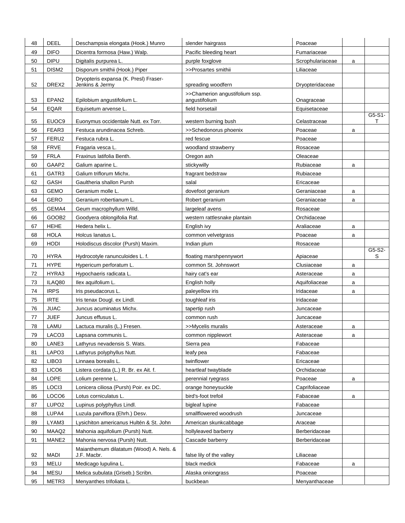| 48 | <b>DEEL</b>       | Deschampsia elongata (Hook.) Munro                       | slender hairgrass                               | Poaceae          |   |             |
|----|-------------------|----------------------------------------------------------|-------------------------------------------------|------------------|---|-------------|
| 49 | <b>DIFO</b>       | Dicentra formosa (Haw.) Walp.                            | Pacific bleeding heart                          | Fumariaceae      |   |             |
| 50 | <b>DIPU</b>       | Digitalis purpurea L.                                    | purple foxglove                                 | Scrophulariaceae | a |             |
| 51 | DISM <sub>2</sub> | Disporum smithii (Hook.) Piper                           | >>Prosartes smithii                             | Liliaceae        |   |             |
| 52 | DREX2             | Dryopteris expansa (K. Presl) Fraser-<br>Jenkins & Jermy | spreading woodfern                              | Dryopteridaceae  |   |             |
| 53 | EPAN <sub>2</sub> | Epilobium angustifolium L.                               | >>Chamerion angustifolium ssp.<br>angustifolium | Onagraceae       |   |             |
| 54 | <b>EQAR</b>       | Equisetum arvense L.                                     | field horsetail                                 | Equisetaceae     |   |             |
| 55 | EUOC9             | Euonymus occidentale Nutt. ex Torr.                      | western burning bush                            | Celastraceae     |   | G5-S1-<br>т |
| 56 | FEAR3             | Festuca arundinacea Schreb.                              | >>Schedonorus phoenix                           | Poaceae          | a |             |
| 57 | FERU2             | Festuca rubra L.                                         | red fescue                                      | Poaceae          |   |             |
| 58 | <b>FRVE</b>       | Fragaria vesca L.                                        | woodland strawberry                             | Rosaceae         |   |             |
| 59 | <b>FRLA</b>       | Fraxinus latifolia Benth.                                | Oregon ash                                      | Oleaceae         |   |             |
| 60 | GAAP2             | Galium aparine L.                                        | stickywilly                                     | Rubiaceae        | a |             |
| 61 | GATR3             | Galium triflorum Michx.                                  | fragrant bedstraw                               | Rubiaceae        |   |             |
| 62 | GASH              | Gaultheria shallon Pursh                                 | salal                                           | Ericaceae        |   |             |
| 63 | <b>GEMO</b>       | Geranium molle L.                                        | dovefoot geranium                               | Geraniaceae      | a |             |
| 64 | <b>GERO</b>       | Geranium robertianum L.                                  | Robert geranium                                 | Geraniaceae      | a |             |
| 65 | GEMA4             | Geum macrophyllum Willd.                                 | largeleaf avens                                 | Rosaceae         |   |             |
| 66 | GOOB <sub>2</sub> | Goodyera oblongifolia Raf.                               | western rattlesnake plantain                    | Orchidaceae      |   |             |
| 67 | <b>HEHE</b>       | Hedera helix L.                                          | English ivy                                     | Araliaceae       | a |             |
| 68 | <b>HOLA</b>       | Holcus lanatus L.                                        | common velvetgrass                              | Poaceae          | a |             |
| 69 | <b>HODI</b>       | Holodiscus discolor (Pursh) Maxim.                       | Indian plum                                     | Rosaceae         |   |             |
| 70 | <b>HYRA</b>       | Hydrocotyle ranunculoides L. f.                          | floating marshpennywort                         | Apiaceae         |   | G5-S2-<br>S |
| 71 | <b>HYPE</b>       | Hypericum perforatum L.                                  | common St. Johnswort                            | Clusiaceae       | a |             |
| 72 | HYRA3             | Hypochaeris radicata L.                                  | hairy cat's ear                                 | Asteraceae       | a |             |
| 73 | ILAQ80            | Ilex aquifolium L.                                       | English holly                                   | Aquifoliaceae    | a |             |
| 74 | <b>IRPS</b>       | Iris pseudacorus L.                                      | paleyellow iris                                 | Iridaceae        | a |             |
| 75 | <b>IRTE</b>       | Iris tenax Dougl. ex Lindl.                              | toughleaf iris                                  | Iridaceae        |   |             |
| 76 | <b>JUAC</b>       | Juncus acuminatus Michx.                                 | tapertip rush                                   | Juncaceae        |   |             |
| 77 | <b>JUEF</b>       | Juncus effusus L.                                        | common rush                                     | Juncaceae        |   |             |
| 78 | LAMU              | Lactuca muralis (L.) Fresen.                             | >>Mycelis muralis                               | Asteraceae       | a |             |
| 79 | LACO <sub>3</sub> | Lapsana communis L.                                      | common nipplewort                               | Asteraceae       | a |             |
| 80 | LANE3             | Lathyrus nevadensis S. Wats.                             | Sierra pea                                      | Fabaceae         |   |             |
| 81 | LAPO3             | Lathyrus polyphyllus Nutt.                               | leafy pea                                       | Fabaceae         |   |             |
| 82 | LIBO <sub>3</sub> | Linnaea borealis L.                                      | twinflower                                      | Ericaceae        |   |             |
| 83 | LICO <sub>6</sub> | Listera cordata (L.) R. Br. ex Ait. f.                   | heartleaf twayblade                             | Orchidaceae      |   |             |
| 84 | LOPE              | Lolium perenne L.                                        | perennial ryegrass                              | Poaceae          | a |             |
| 85 | LOCI3             | Lonicera ciliosa (Pursh) Poir. ex DC.                    | orange honeysuckle                              | Caprifoliaceae   |   |             |
| 86 | LOCO6             | Lotus corniculatus L.                                    | bird's-foot trefoil                             | Fabaceae         | a |             |
| 87 | LUPO <sub>2</sub> | Lupinus polyphyllus Lindl.                               | bigleaf lupine                                  | Fabaceae         |   |             |
| 88 | LUPA4             | Luzula parviflora (Ehrh.) Desv.                          | smallflowered woodrush                          | Juncaceae        |   |             |
| 89 | LYAM3             | Lysichiton americanus Hultén & St. John                  | American skunkcabbage                           | Araceae          |   |             |
| 90 | MAAQ2             | Mahonia aquifolium (Pursh) Nutt.                         | hollyleaved barberry                            | Berberidaceae    |   |             |
| 91 | MANE2             | Mahonia nervosa (Pursh) Nutt.                            | Cascade barberry                                | Berberidaceae    |   |             |
| 92 | <b>MADI</b>       | Maianthemum dilatatum (Wood) A. Nels. &<br>J.F. Macbr.   | false lily of the valley                        | Liliaceae        |   |             |
| 93 | MELU              | Medicago lupulina L.                                     | black medick                                    | Fabaceae         | a |             |
| 94 | <b>MESU</b>       | Melica subulata (Griseb.) Scribn.                        | Alaska oniongrass                               | Poaceae          |   |             |
| 95 | METR3             | Menyanthes trifoliata L.                                 | buckbean                                        | Menyanthaceae    |   |             |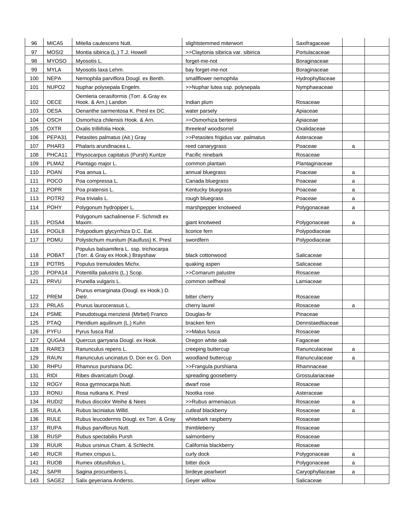| 96  | MICA5             | Mitella caulescens Nutt.                                                    | slightstemmed miterwort            | Saxifragaceae    |   |  |
|-----|-------------------|-----------------------------------------------------------------------------|------------------------------------|------------------|---|--|
| 97  | MOSI <sub>2</sub> | Montia sibirica (L.) T.J. Howell                                            | >>Claytonia sibirica var. sibirica | Portulacaceae    |   |  |
| 98  | <b>MYOSO</b>      | Myosotis L.                                                                 | forget-me-not                      | Boraginaceae     |   |  |
| 99  | <b>MYLA</b>       | Myosotis laxa Lehm.                                                         | bay forget-me-not                  | Boraginaceae     |   |  |
| 100 | <b>NEPA</b>       | Nemophila parviflora Dougl. ex Benth.                                       | smallflower nemophila              | Hydrophyllaceae  |   |  |
| 101 | NUPO <sub>2</sub> | Nuphar polysepala Engelm.                                                   | >>Nuphar lutea ssp. polysepala     | Nymphaeaceae     |   |  |
| 102 | <b>OECE</b>       | Oemleria cerasiformis (Torr. & Gray ex<br>Hook. & Arn.) Landon              | Indian plum                        | Rosaceae         |   |  |
| 103 | <b>OESA</b>       | Oenanthe sarmentosa K. Presl ex DC.                                         | water parsely                      | Apiaceae         |   |  |
| 104 | <b>OSCH</b>       | Osmorhiza chilensis Hook. & Arn.                                            | >>Osmorhiza berteroi               | Apiaceae         |   |  |
| 105 | <b>OXTR</b>       | Oxalis trilliifolia Hook.                                                   | threeleaf woodsorrel               | Oxalidaceae      |   |  |
| 106 | PEPA31            | Petasites palmatus (Ait.) Gray                                              | >>Petasites frigidus var. palmatus | Asteraceae       |   |  |
| 107 | PHAR3             | Phalaris arundinacea L.                                                     | reed canarygrass                   | Poaceae          | a |  |
| 108 | PHCA11            | Physocarpus capitatus (Pursh) Kuntze                                        | Pacific ninebark                   | Rosaceae         |   |  |
| 109 | PLMA <sub>2</sub> | Plantago major L.                                                           | common plantain                    | Plantaginaceae   |   |  |
| 110 | <b>POAN</b>       | Poa annua L.                                                                | annual bluegrass                   | Poaceae          | a |  |
| 111 | <b>POCO</b>       | Poa compressa L.                                                            | Canada bluegrass                   | Poaceae          | a |  |
| 112 | <b>POPR</b>       | Poa pratensis L.                                                            | Kentucky bluegrass                 | Poaceae          | a |  |
| 113 | POTR <sub>2</sub> | Poa trivialis L.                                                            | rough bluegrass                    | Poaceae          | a |  |
| 114 | <b>POHY</b>       | Polygonum hydropiper L.                                                     | marshpepper knotweed               | Polygonaceae     | a |  |
| 115 | POSA4             | Polygonum sachalinense F. Schmidt ex<br>Maxim.                              | giant knotweed                     | Polygonaceae     | a |  |
| 116 | POGL8             | Polypodium glycyrrhiza D.C. Eat.                                            | licorice fern                      | Polypodiaceae    |   |  |
| 117 | <b>POMU</b>       | Polystichum munitum (Kaulfuss) K. Presl                                     | swordfern                          | Polypodiaceae    |   |  |
| 118 | <b>POBAT</b>      | Populus balsamifera L. ssp. trichocarpa<br>(Torr. & Gray ex Hook.) Brayshaw | black cottonwood                   | Salicaceae       |   |  |
| 119 | POTR <sub>5</sub> | Populus tremuloides Michx.                                                  | quaking aspen                      | Salicaceae       |   |  |
| 120 | POPA14            | Potentilla palustris (L.) Scop.                                             | >>Comarum palustre                 | Rosaceae         |   |  |
| 121 | PRVU              | Prunella vulgaris L.                                                        | common selfheal                    | Lamiaceae        |   |  |
| 122 | <b>PREM</b>       | Prunus emarginata (Dougl. ex Hook.) D.<br>Dietr.                            | bitter cherry                      | Rosaceae         |   |  |
| 123 | PRLA5             | Prunus laurocerasus L.                                                      | cherry laurel                      | Rosaceae         | a |  |
| 124 | <b>PSME</b>       | Pseudotsuga menziesii (Mirbel) Franco                                       | Douglas-fir                        | Pinaceae         |   |  |
| 125 | <b>PTAQ</b>       | Pteridium aquilinum (L.) Kuhn                                               | bracken fern                       | Dennstaedtiaceae |   |  |
| 126 | <b>PYFU</b>       | Pyrus fusca Raf.                                                            | >>Malus fusca                      | Rosaceae         |   |  |
| 127 | QUGA4             | Quercus garryana Dougl. ex Hook.                                            | Oregon white oak                   | Fagaceae         |   |  |
| 128 | RARE3             | Ranunculus repens L.                                                        | creeping buttercup                 | Ranunculaceae    | a |  |
| 129 | <b>RAUN</b>       | Ranunculus uncinatus D. Don ex G. Don                                       | woodland buttercup                 | Ranunculaceae    | a |  |
| 130 | <b>RHPU</b>       | Rhamnus purshiana DC.                                                       | >>Frangula purshiana               | Rhamnaceae       |   |  |
| 131 | <b>RIDI</b>       | Ribes divaricatum Dougl.                                                    | spreading gooseberry               | Grossulariaceae  |   |  |
| 132 | <b>ROGY</b>       | Rosa gymnocarpa Nutt.                                                       | dwarf rose                         | Rosaceae         |   |  |
| 133 | <b>RONU</b>       | Rosa nutkana K. Presl                                                       | Nootka rose                        | Asteraceae       |   |  |
| 134 | RUDI2             | Rubus discolor Weihe & Nees                                                 | >>Rubus armeniacus                 | Rosaceae         | a |  |
| 135 | <b>RULA</b>       | Rubus laciniatus Willd.                                                     | cutleaf blackberry                 | Rosaceae         | a |  |
| 136 | <b>RULE</b>       | Rubus leucodermis Dougl. ex Torr. & Gray                                    | whitebark raspberry                | Rosaceae         |   |  |
| 137 | <b>RUPA</b>       | Rubus parviflorus Nutt.                                                     | thimbleberry                       | Rosaceae         |   |  |
| 138 | <b>RUSP</b>       | Rubus spectabilis Pursh                                                     | salmonberry                        | Rosaceae         |   |  |
| 139 | <b>RUUR</b>       | Rubus ursinus Cham. & Schlecht.                                             | California blackberry              | Rosaceae         |   |  |
| 140 | <b>RUCR</b>       | Rumex crispus L.                                                            | curly dock                         | Polygonaceae     | a |  |
| 141 | <b>RUOB</b>       | Rumex obtusifolius L.                                                       | bitter dock                        | Polygonaceae     | a |  |
| 142 | SAPR              | Sagina procumbens L.                                                        | birdeye pearlwort                  | Caryophyllaceae  | a |  |
| 143 | SAGE <sub>2</sub> | Salix geyeriana Anderss.                                                    | Geyer willow                       | Salicaceae       |   |  |
|     |                   |                                                                             |                                    |                  |   |  |